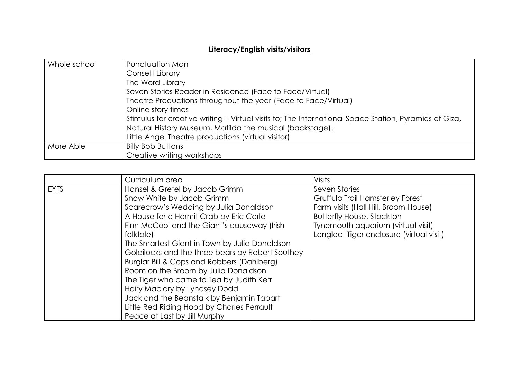## **Literacy/English visits/visitors**

| Whole school | Punctuation Man                                                                                       |
|--------------|-------------------------------------------------------------------------------------------------------|
|              | Consett Library                                                                                       |
|              | The Word Library                                                                                      |
|              | Seven Stories Reader in Residence (Face to Face/Virtual)                                              |
|              | Theatre Productions throughout the year (Face to Face/Virtual)                                        |
|              | Online story times                                                                                    |
|              | Stimulus for creative writing – Virtual visits to; The International Space Station, Pyramids of Giza, |
|              | Natural History Museum, Matilda the musical (backstage).                                              |
|              | Little Angel Theatre productions (virtual visitor)                                                    |
| More Able    | <b>Billy Bob Buttons</b>                                                                              |
|              | Creative writing workshops                                                                            |

|             | Curriculum area                                  | Visits                                   |
|-------------|--------------------------------------------------|------------------------------------------|
| <b>EYFS</b> | Hansel & Gretel by Jacob Grimm                   | Seven Stories                            |
|             | Snow White by Jacob Grimm                        | Gruffulo Trail Hamsterley Forest         |
|             | Scarecrow's Wedding by Julia Donaldson           | Farm visits (Hall Hill, Broom House)     |
|             | A House for a Hermit Crab by Eric Carle          | <b>Butterfly House, Stockton</b>         |
|             | Finn McCool and the Giant's causeway (Irish      | Tynemouth aquarium (virtual visit)       |
|             | folktale)                                        | Longleat Tiger enclosure (virtual visit) |
|             | The Smartest Giant in Town by Julia Donaldson    |                                          |
|             | Goldilocks and the three bears by Robert Southey |                                          |
|             | Burglar Bill & Cops and Robbers (Dahlberg)       |                                          |
|             | Room on the Broom by Julia Donaldson             |                                          |
|             | The Tiger who came to Tea by Judith Kerr         |                                          |
|             | Hairy Maclary by Lyndsey Dodd                    |                                          |
|             | Jack and the Beanstalk by Benjamin Tabart        |                                          |
|             | Little Red Riding Hood by Charles Perrault       |                                          |
|             | Peace at Last by Jill Murphy                     |                                          |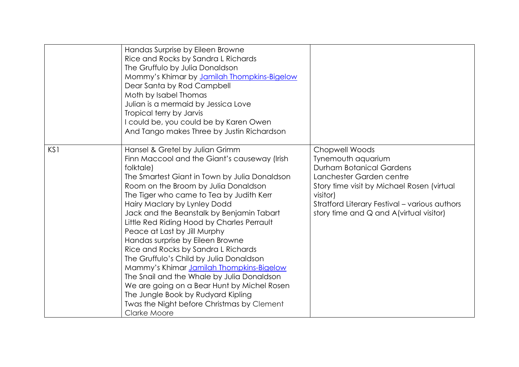|     | Handas Surprise by Eileen Browne<br>Rice and Rocks by Sandra L Richards<br>The Gruffulo by Julia Donaldson<br>Mommy's Khimar by Jamilah Thompkins-Bigelow<br>Dear Santa by Rod Campbell<br>Moth by Isabel Thomas<br>Julian is a mermaid by Jessica Love<br>Tropical terry by Jarvis<br>I could be, you could be by Karen Owen<br>And Tango makes Three by Justin Richardson                                                                                                                                                                                                                                                                                                                                                                                     |                                                                                                                                                                                                                                                                |
|-----|-----------------------------------------------------------------------------------------------------------------------------------------------------------------------------------------------------------------------------------------------------------------------------------------------------------------------------------------------------------------------------------------------------------------------------------------------------------------------------------------------------------------------------------------------------------------------------------------------------------------------------------------------------------------------------------------------------------------------------------------------------------------|----------------------------------------------------------------------------------------------------------------------------------------------------------------------------------------------------------------------------------------------------------------|
| KS1 | Hansel & Gretel by Julian Grimm<br>Finn Maccool and the Giant's causeway (Irish<br>folktale)<br>The Smartest Giant in Town by Julia Donaldson<br>Room on the Broom by Julia Donaldson<br>The Tiger who came to Tea by Judith Kerr<br>Hairy Maclary by Lynley Dodd<br>Jack and the Beanstalk by Benjamin Tabart<br>Little Red Riding Hood by Charles Perrault<br>Peace at Last by Jill Murphy<br>Handas surprise by Eileen Browne<br>Rice and Rocks by Sandra L Richards<br>The Gruffulo's Child by Julia Donaldson<br>Mammy's Khimar Jamilah Thompkins-Bigelow<br>The Snail and the Whale by Julia Donaldson<br>We are going on a Bear Hunt by Michel Rosen<br>The Jungle Book by Rudyard Kipling<br>Twas the Night before Christmas by Clement<br>Clarke Moore | Chopwell Woods<br>Tynemouth aquarium<br><b>Durham Botanical Gardens</b><br>Lanchester Garden centre<br>Story time visit by Michael Rosen (virtual<br>visitor)<br>Stratford Literary Festival - various authors<br>story time and $Q$ and $A$ (virtual visitor) |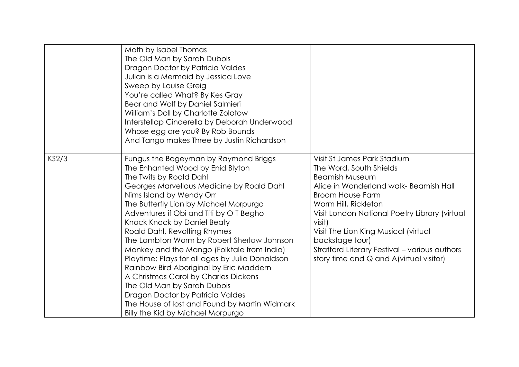|       | Moth by Isabel Thomas<br>The Old Man by Sarah Dubois<br>Dragon Doctor by Patricia Valdes<br>Julian is a Mermaid by Jessica Love<br>Sweep by Louise Greig<br>You're called What? By Kes Gray<br>Bear and Wolf by Daniel Salmieri<br>William's Doll by Charlotte Zolotow<br>Interstellap Cinderella by Deborah Underwood<br>Whose egg are you? By Rob Bounds<br>And Tango makes Three by Justin Richardson                                                                                                                                                                                                                                                                                                                    |                                                                                                                                                                                                                                                                                                                                                                                                  |
|-------|-----------------------------------------------------------------------------------------------------------------------------------------------------------------------------------------------------------------------------------------------------------------------------------------------------------------------------------------------------------------------------------------------------------------------------------------------------------------------------------------------------------------------------------------------------------------------------------------------------------------------------------------------------------------------------------------------------------------------------|--------------------------------------------------------------------------------------------------------------------------------------------------------------------------------------------------------------------------------------------------------------------------------------------------------------------------------------------------------------------------------------------------|
| KS2/3 | Fungus the Bogeyman by Raymond Briggs<br>The Enhanted Wood by Enid Blyton<br>The Twits by Roald Dahl<br>Georges Marvellous Medicine by Roald Dahl<br>Nims Island by Wendy Orr<br>The Butterfly Lion by Michael Morpurgo<br>Adventures if Obi and Titi by OT Begho<br>Knock Knock by Daniel Beaty<br>Roald Dahl, Revolting Rhymes<br>The Lambton Worm by Robert Sherlaw Johnson<br>Monkey and the Mango (Folktale from India)<br>Playtime: Plays for all ages by Julia Donaldson<br>Rainbow Bird Aboriginal by Eric Maddern<br>A Christmas Carol by Charles Dickens<br>The Old Man by Sarah Dubois<br>Dragon Doctor by Patricia Valdes<br>The House of lost and Found by Martin Widmark<br>Billy the Kid by Michael Morpurgo | Visit St James Park Stadium<br>The Word, South Shields<br><b>Beamish Museum</b><br>Alice in Wonderland walk- Beamish Hall<br><b>Broom House Farm</b><br>Worm Hill, Rickleton<br>Visit London National Poetry Library (virtual<br>visit)<br>Visit The Lion King Musical (virtual<br>backstage tour)<br>Stratford Literary Festival - various authors<br>story time and $Q$ and A(virtual visitor) |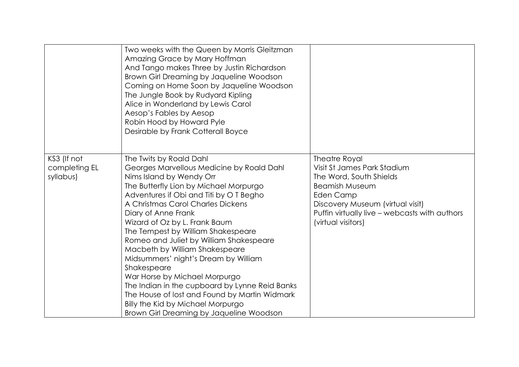|                                           | Two weeks with the Queen by Morris Gleitzman<br>Amazing Grace by Mary Hoffman<br>And Tango makes Three by Justin Richardson<br>Brown Girl Dreaming by Jaqueline Woodson<br>Coming on Home Soon by Jaqueline Woodson<br>The Jungle Book by Rudyard Kipling<br>Alice in Wonderland by Lewis Carol<br>Aesop's Fables by Aesop<br>Robin Hood by Howard Pyle<br>Desirable by Frank Cotterall Boyce                                                                                                                                                                                                                                                                                    |                                                                                                                                                                                                                                 |
|-------------------------------------------|----------------------------------------------------------------------------------------------------------------------------------------------------------------------------------------------------------------------------------------------------------------------------------------------------------------------------------------------------------------------------------------------------------------------------------------------------------------------------------------------------------------------------------------------------------------------------------------------------------------------------------------------------------------------------------|---------------------------------------------------------------------------------------------------------------------------------------------------------------------------------------------------------------------------------|
| KS3 (If not<br>completing EL<br>syllabus) | The Twits by Roald Dahl<br>Georges Marvellous Medicine by Roald Dahl<br>Nims Island by Wendy Orr<br>The Butterfly Lion by Michael Morpurgo<br>Adventures if Obi and Titi by OT Begho<br>A Christmas Carol Charles Dickens<br>Diary of Anne Frank<br>Wizard of Oz by L. Frank Baum<br>The Tempest by William Shakespeare<br>Romeo and Juliet by William Shakespeare<br>Macbeth by William Shakespeare<br>Midsummers' night's Dream by William<br>Shakespeare<br>War Horse by Michael Morpurgo<br>The Indian in the cupboard by Lynne Reid Banks<br>The House of lost and Found by Martin Widmark<br>Billy the Kid by Michael Morpurgo<br>Brown Girl Dreaming by Jaqueline Woodson | <b>Theatre Royal</b><br>Visit St James Park Stadium<br>The Word, South Shields<br><b>Beamish Museum</b><br>Eden Camp<br>Discovery Museum (virtual visit)<br>Puffin virtually live - webcasts with authors<br>(virtual visitors) |